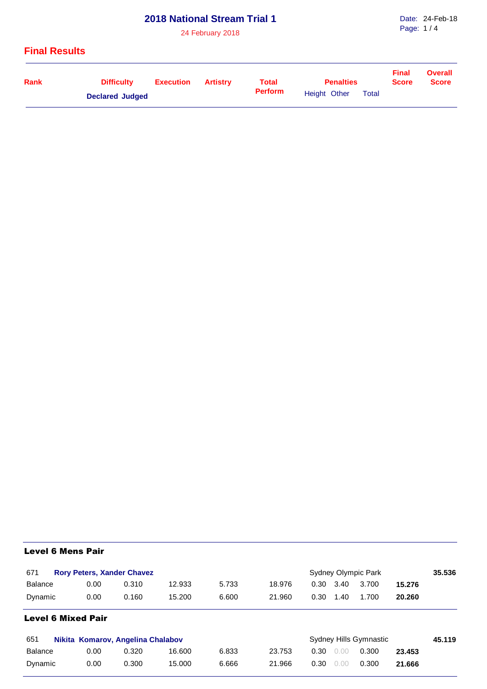## **2018 National Stream Trial 1**

24 February 2018

#### **Final Results**

| Rank | <b>Difficulty</b>      | Execution | Artistrv | <b>Total</b>   | <b>Penalties</b> | <b>Final</b><br><b>Score</b> | <b>Overall</b><br><b>Score</b> |  |
|------|------------------------|-----------|----------|----------------|------------------|------------------------------|--------------------------------|--|
|      | <b>Declared Judged</b> |           |          | <b>Perform</b> | Height Other     | <b>Total</b>                 |                                |  |

# Level 6 Mens Pair

| 671                       |                                   | <b>Rory Peters, Xander Chavez</b> |        |       |        |                        |      | Sydney Olympic Park |        | 35.536 |
|---------------------------|-----------------------------------|-----------------------------------|--------|-------|--------|------------------------|------|---------------------|--------|--------|
| <b>Balance</b>            | 0.00                              | 0.310                             | 12.933 | 5.733 | 18.976 | 0.30                   | 3.40 | 3.700               | 15.276 |        |
| Dynamic                   | 0.00                              | 0.160                             | 15.200 | 6.600 | 21.960 | 0.30                   | 1.40 | 1.700               | 20.260 |        |
| <b>Level 6 Mixed Pair</b> |                                   |                                   |        |       |        |                        |      |                     |        |        |
| 651                       | Nikita Komarov, Angelina Chalabov |                                   |        |       |        | Sydney Hills Gymnastic |      |                     |        |        |
| <b>Balance</b>            | 0.00                              | 0.320                             | 16.600 | 6.833 | 23.753 | 0.30                   | 0.00 | 0.300               | 23.453 |        |
| Dynamic                   | 0.00                              | 0.300                             | 15.000 | 6.666 | 21.966 | 0.30                   | 0.00 | 0.300               | 21.666 |        |